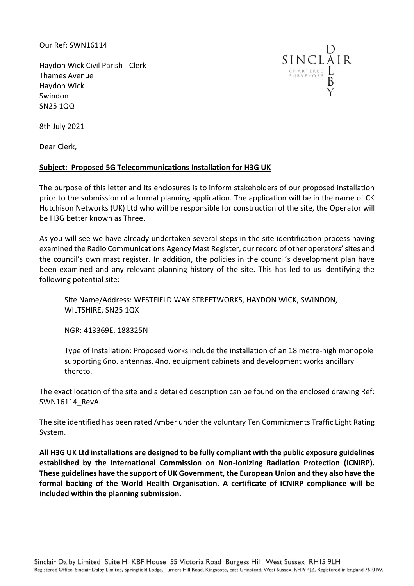Our Ref: SWN16114

Haydon Wick Civil Parish - Clerk Thames Avenue Haydon Wick Swindon SN25 1QQ



8th July 2021

Dear Clerk,

## **Subject: Proposed 5G Telecommunications Installation for H3G UK**

The purpose of this letter and its enclosures is to inform stakeholders of our proposed installation prior to the submission of a formal planning application. The application will be in the name of CK Hutchison Networks (UK) Ltd who will be responsible for construction of the site, the Operator will be H3G better known as Three.

As you will see we have already undertaken several steps in the site identification process having examined the Radio Communications Agency Mast Register, our record of other operators' sites and the council's own mast register. In addition, the policies in the council's development plan have been examined and any relevant planning history of the site. This has led to us identifying the following potential site:

Site Name/Address: WESTFIELD WAY STREETWORKS, HAYDON WICK, SWINDON, WILTSHIRE, SN25 1QX

NGR: 413369E, 188325N

Type of Installation: Proposed works include the installation of an 18 metre-high monopole supporting 6no. antennas, 4no. equipment cabinets and development works ancillary thereto.

The exact location of the site and a detailed description can be found on the enclosed drawing Ref: SWN16114\_RevA.

The site identified has been rated Amber under the voluntary Ten Commitments Traffic Light Rating System.

**All H3G UK Ltd installations are designed to be fully compliant with the public exposure guidelines established by the International Commission on Non-Ionizing Radiation Protection (ICNIRP). These guidelines have the support of UK Government, the European Union and they also have the formal backing of the World Health Organisation. A certificate of ICNIRP compliance will be included within the planning submission.**